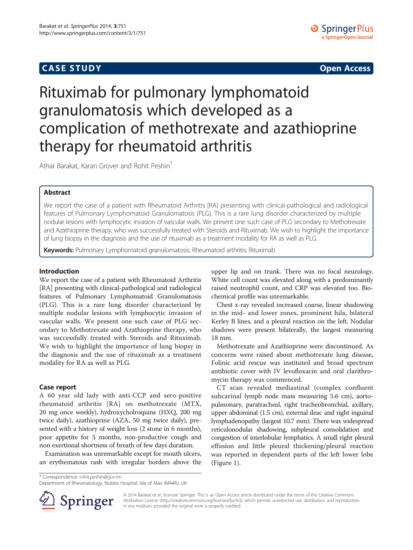## **CASE STUDY CASE STUDY Open Access**

# Rituximab for pulmonary lymphomatoid granulomatosis which developed as a complication of methotrexate and azathioprine therapy for rheumatoid arthritis

Athar Barakat, Karan Grover and Rohit Peshin<sup>\*</sup>

## Abstract

We report the case of a patient with Rheumatoid Arthritis [RA] presenting with clinical-pathological and radiological features of Pulmonary Lymphomatoid Granulomatosis (PLG). This is a rare lung disorder characterized by multiple nodular lesions with lymphocytic invasion of vascular walls. We present one such case of PLG secondary to Methotrexate and Azathioprine therapy, who was successfully treated with Steroids and Rituximab. We wish to highlight the importance of lung biopsy in the diagnosis and the use of rituximab as a treatment modality for RA as well as PLG.

Keywords: Pulmonary Lymphomatoid granulomatosis; Rheumatoid arthritis; Rituximab

## Introduction

We report the case of a patient with Rheumatoid Arthritis [RA] presenting with clinical-pathological and radiological features of Pulmonary Lymphomatoid Granulomatosis (PLG). This is a rare lung disorder characterized by multiple nodular lesions with lymphocytic invasion of vascular walls. We present one such case of PLG secondary to Methotrexate and Azathioprine therapy, who was successfully treated with Steroids and Rituximab. We wish to highlight the importance of lung biopsy in the diagnosis and the use of rituximab as a treatment modality for RA as well as PLG.

## Case report

A 60 year old lady with anti-CCP and sero-positive rheumatoid arthritis [RA] on methotrexate (MTX, 20 mg once weekly), hydroxycholroquine (HXQ, 200 mg twice daily), azathioprine (AZA, 50 mg twice daily), presented with a history of weight loss (2 stone in 6 months), poor appetite for 5 months, non-productive cough and non exertional shortness of breath of few days duration.

Examination was unremarkable except for mouth ulcers, an erythematous rash with irregular borders above the upper lip and on trunk. There was no focal neurology. White cell count was elevated along with a predominantly raised neutrophil count, and CRP was elevated too. Biochemical profile was unremarkable.

Chest x-ray revealed increased coarse, linear shadowing in the mid- and lower zones, prominent hila, bilateral Kerley B lines, and a pleural reaction on the left. Nodular shadows were present bilaterally, the largest measuring 18 mm.

Methotrexate and Azathioprine were discontinued. As concerns were raised about methotrexate lung disease, Folinic acid rescue was instituted and broad spectrum antibiotic cover with IV levofloxacin and oral clarithromycin therapy was commenced.

CT scan revealed mediastinal (complex confluent subcarinal lymph node mass measuring 5.6 cm), aortopulmonary, paratracheal, right tracheobronchial, axillary, upper abdominal (1.5 cm), external ileac and right inguinal lymphadenopathy (largest 10.7 mm). There was widespread reticulonodular shadowing, subpleural consolidation and congestion of interlobular lymphatics. A small right pleural effusion and little pleural thickening/pleural reaction was reported in dependent parts of the left lower lobe (Figure [1\)](#page-1-0).

\* Correspondence: [rohit.peshin@gov.im](mailto:rohit.peshin@gov.im)

Department of Rheumatology, Nobles Hospital, Isle of Man IM44RJ, UK



© 2014 Barakat et al.; licensee Springer. This is an Open Access article distributed under the terms of the Creative Commons Attribution License [\(http://creativecommons.org/licenses/by/4.0\)](http://creativecommons.org/licenses/by/4.0), which permits unrestricted use, distribution, and reproduction in any medium, provided the original work is properly credited.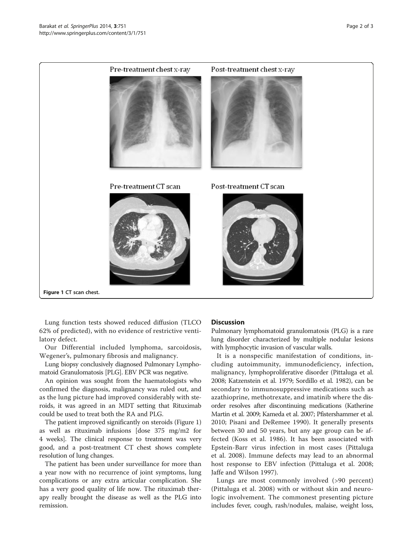<span id="page-1-0"></span>

Lung function tests showed reduced diffusion (TLCO 62% of predicted), with no evidence of restrictive ventilatory defect.

Our Differential included lymphoma, sarcoidosis, Wegener's, pulmonary fibrosis and malignancy.

Lung biopsy conclusively diagnosed Pulmonary Lymphomatoid Granulomatosis [PLG]. EBV PCR was negative.

An opinion was sought from the haematologists who confirmed the diagnosis, malignancy was ruled out, and as the lung picture had improved considerably with steroids, it was agreed in an MDT setting that Rituximab could be used to treat both the RA and PLG.

The patient improved significantly on steroids (Figure 1) as well as rituximab infusions [dose 375 mg/m2 for 4 weeks]. The clinical response to treatment was very good, and a post-treatment CT chest shows complete resolution of lung changes.

The patient has been under surveillance for more than a year now with no recurrence of joint symptoms, lung complications or any extra articular complication. She has a very good quality of life now. The rituximab therapy really brought the disease as well as the PLG into remission.

## **Discussion**

Pulmonary lymphomatoid granulomatosis (PLG) is a rare lung disorder characterized by multiple nodular lesions with lymphocytic invasion of vascular walls.

It is a nonspecific manifestation of conditions, including autoimmunity, immunodeficiency, infection, malignancy, lymphoproliferative disorder (Pittaluga et al. [2008](#page-2-0); Katzenstein et al. [1979](#page-2-0); Sordillo et al. [1982](#page-2-0)), can be secondary to immunosuppressive medications such as azathioprine, methotrexate, and imatinib where the disorder resolves after discontinuing medications (Katherine Martin et al. [2009;](#page-2-0) Kameda et al. [2007](#page-2-0); Pfistershammer et al. [2010;](#page-2-0) Pisani and DeRemee [1990\)](#page-2-0). It generally presents between 30 and 50 years, but any age group can be affected (Koss et al. [1986\)](#page-2-0). It has been associated with Epstein-Barr virus infection in most cases (Pittaluga et al. [2008\)](#page-2-0). Immune defects may lead to an abnormal host response to EBV infection (Pittaluga et al. [2008](#page-2-0); Jaffe and Wilson [1997\)](#page-2-0).

Lungs are most commonly involved (>90 percent) (Pittaluga et al. [2008](#page-2-0)) with or without skin and neurologic involvement. The commonest presenting picture includes fever, cough, rash/nodules, malaise, weight loss,